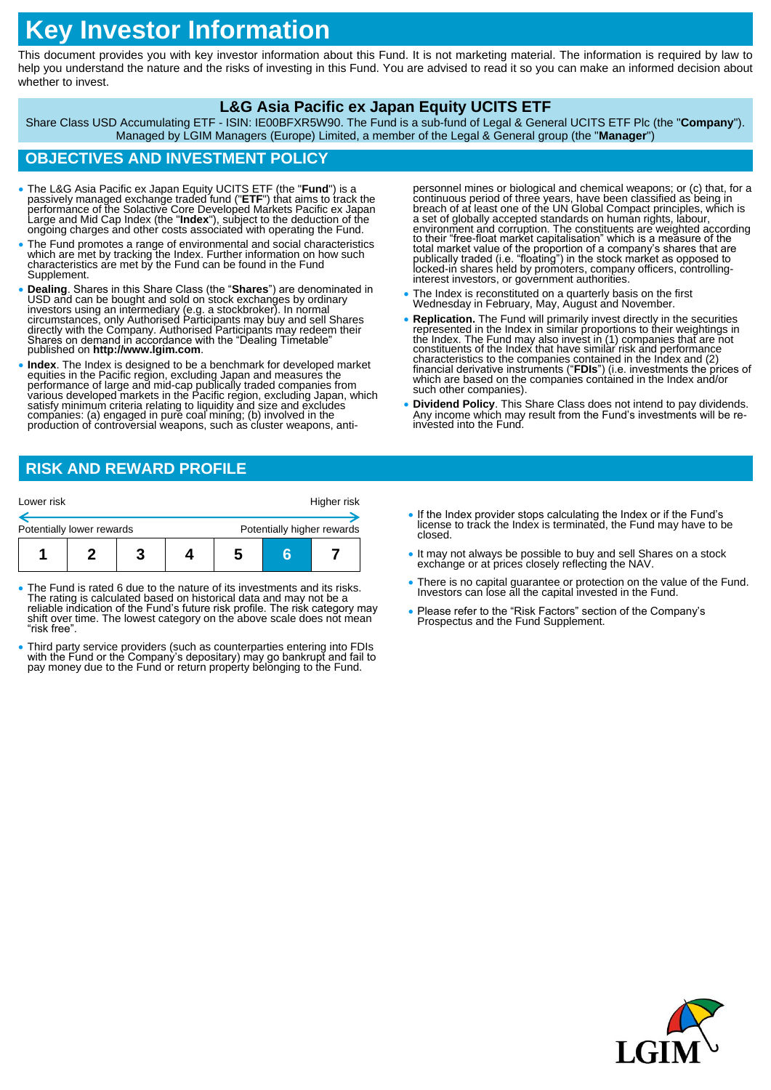# **Key Investor Information**

This document provides you with key investor information about this Fund. It is not marketing material. The information is required by law to help you understand the nature and the risks of investing in this Fund. You are advised to read it so you can make an informed decision about whether to invest.

#### **L&G Asia Pacific ex Japan Equity UCITS ETF**

Share Class USD Accumulating ETF - ISIN: IE00BFXR5W90. The Fund is a sub-fund of Legal & General UCITS ETF Plc (the "**Company**"). Managed by LGIM Managers (Europe) Limited, a member of the Legal & General group (the "**Manager**")

# **OBJECTIVES AND INVESTMENT POLICY**

- The L&G Asia Pacific ex Japan Equity UCITS ETF (the "Fund") is a passively managed exchange traded fund ("ETF") that aims to track the performance of the Solactive Core Developed Markets Pacific ex Japan Large and Mid Ca
- The Fund promotes a range of environmental and social characteristics which are met by tracking the Index. Further information on how such characteristics are met by the Fund can be found in the Fund Supplement.
- Dealing. Shares in this Share Class (the "Shares") are denominated in USD and can be bought and sold on stock exchanges by ordinary investors using an intermediary (e.g. a stockbroker). In normal circumstances, only Auth directly with the Company. Authorised Participants may redeem their Shares on demand in accordance with the "Dealing Timetable" published on **http://www.lgim.com**.
- Index. The Index is designed to be a benchmark for developed market<br>equities in the Pacific region, excluding Japan and measures the<br>performance of large and mid-cap publically traded companies from<br>various developed mar satisfy minimum criteria relating to liquidity and size and excludes companies: (a) engaged in pure coal mining; (b) involved in the production of controversial weapons, such as cluster weapons, anti-

personnel mines or biological and chemical weapons; or (c) that, for a continuous period of three years, have been classified as being in<br>breach of at least one of the UN Global Compact principles, which is<br>a set of globally accepted standards on human rights, labour, environment and corruption. The constituents are weighted according<br>to their "free-float market capitalisation" which is a measure of the<br>total market value of the proportion of a company's shares that are<br>publically trade

- The Index is reconstituted on a quarterly basis on the first Wednesday in February, May, August and November.
- **Replication.** The Fund will primarily invest directly in the securities represented in the Index in similar proportions to their weightings in<br>the Index. The Fund may also invest in (1) companies that are not<br>constituents of the Index that have similar risk and performance<br>characteristics to t financial derivative instruments ("FDIs") (i.e. investments the prices of which are based on the companies contained in the lodex and/or such other companies).
- **Dividend Policy**. This Share Class does not intend to pay dividends. Any income which may result from the Fund's investments will be reinvested into the Fund.

# **RISK AND REWARD PROFILE**

| Lower risk                |                            |   |  | Higher risk |
|---------------------------|----------------------------|---|--|-------------|
| Potentially lower rewards | Potentially higher rewards |   |  |             |
|                           |                            | 5 |  |             |

- The Fund is rated 6 due to the nature of its investments and its risks. The rating is calculated based on historical data and may not be a reliable indication of the Fund's future risk profile. The risk category may shift over time. The lowest category on the above scale does not mean "risk free".
- Third party service providers (such as counterparties entering into FDIs with the Fund or the Company's depositary) may go bankrupt and fail to<br>pay money due to the Fund or return property belonging to the Fund.
- If the Index provider stops calculating the Index or if the Fund's license to track the Index is terminated, the Fund may have to be closed.
- It may not always be possible to buy and sell Shares on a stock exchange or at prices closely reflecting the NAV.
- There is no capital guarantee or protection on the value of the Fund. Investors can lose all the capital invested in the Fund.
- Please refer to the "Risk Factors" section of the Company's Prospectus and the Fund Supplement.